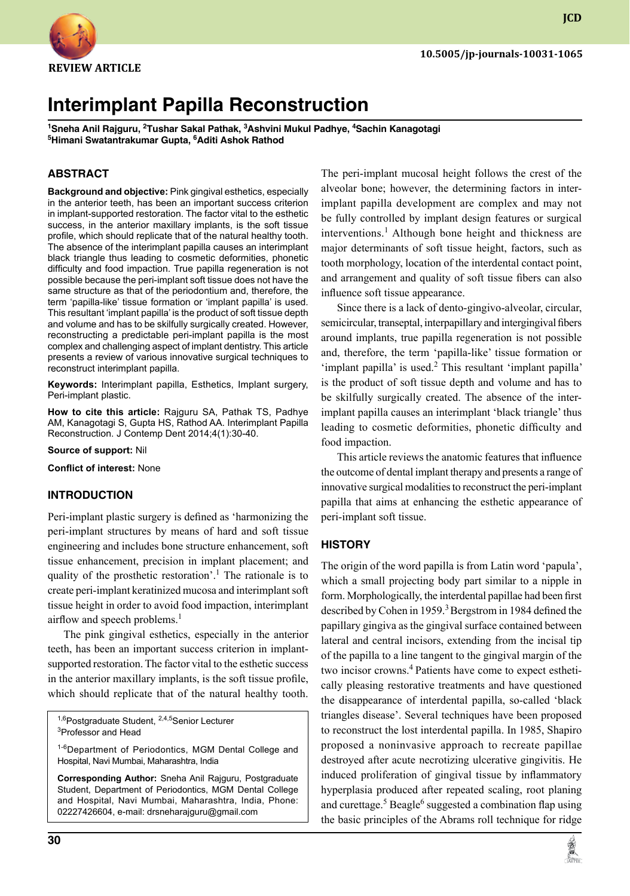

**JCD**

# **Interimplant Papilla Reconstruction**

<sup>1</sup>Sneha Anil Rajguru, <sup>2</sup>Tushar Sakal Pathak, <sup>3</sup>Ashvini Mukul Padhye, <sup>4</sup>Sachin Kanagotagi **5 Himani Swatantrakumar Gupta, 6 Aditi Ashok Rathod**

### **ABSTRACT**

**Background and objective:** Pink gingival esthetics, especially in the anterior teeth, has been an important success criterion in implant-supported restoration. The factor vital to the esthetic success, in the anterior maxillary implants, is the soft tissue profile, which should replicate that of the natural healthy tooth. The absence of the interimplant papilla causes an interimplant black triangle thus leading to cosmetic deformities, phonetic difficulty and food impaction. True papilla regeneration is not possible because the peri-implant soft tissue does not have the same structure as that of the periodontium and, therefore, the term 'papilla-like' tissue formation or 'implant papilla' is used. This resultant 'implant papilla' is the product of soft tissue depth and volume and has to be skilfully surgically created. However, reconstructing a predictable peri-implant papilla is the most complex and challenging aspect of implant dentistry. This article presents a review of various innovative surgical techniques to reconstruct interimplant papilla.

Keywords: Interimplant papilla, Esthetics, Implant surgery, peri-implant plastic.

**How to cite this article:** Rajguru SA, Pathak TS, Padhye AM, Kanagotagi S, Gupta HS, Rathod AA. Interimplant Papilla Reconstruction. J Contemp Dent 2014;4(1):30-40.

**Source of support:** Nil

**Conflict of interest:** None

#### **Introduction**

Peri-implant plastic surgery is defined as 'harmonizing the peri-implant structures by means of hard and soft tissue engineering and includes bone structure enhancement, soft tissue enhancement, precision in implant placement; and quality of the prosthetic restoration'.<sup>1</sup> The rationale is to create peri-implant keratinized mucosa and interimplant soft tissue height in order to avoid food impaction, interimplant airflow and speech problems.<sup>1</sup>

The pink gingival esthetics, especially in the anterior teeth, has been an important success criterion in implantsupported restoration. The factor vital to the esthetic success in the anterior maxillary implants, is the soft tissue profile, which should replicate that of the natural healthy tooth.

<sup>1,6</sup>Postgraduate Student, <sup>2,4,5</sup>Senior Lecturer 3 Professor and Head

**Corresponding Author:** Sneha Anil Rajguru, Postgraduate Student, Department of Periodontics, mGM Dental College and hospital, Navi Mumbai, Maharashtra, India, Phone: 02227426604, e-mail: drsneharajguru@gmail.com

The peri-implant mucosal height follows the crest of the alveolar bone; however, the determining factors in interimplant papilla development are complex and may not be fully controlled by implant design features or surgical interventions.<sup>1</sup> Although bone height and thickness are major determinants of soft tissue height, factors, such as tooth morphology, location of the interdental contact point, and arrangement and quality of soft tissue fibers can also influence soft tissue appearance.

Since there is a lack of dento-gingivo-alveolar, circular, semicircular, transeptal, interpapillary and intergingival fibers around implants, true papilla regeneration is not possible and, therefore, the term 'papilla-like' tissue formation or 'implant papilla' is used.<sup>2</sup> This resultant 'implant papilla' is the product of soft tissue depth and volume and has to be skilfully surgically created. The absence of the interimplant papilla causes an interimplant 'black triangle' thus leading to cosmetic deformities, phonetic difficulty and food impaction.

This article reviews the anatomic features that influence the outcome of dental implant therapy and presents a range of innovative surgical modalities to reconstruct the peri-implant papilla that aims at enhancing the esthetic appearance of peri-implant soft tissue.

### **HISTORY**

The origin of the word papilla is from Latin word 'papula', which a small projecting body part similar to a nipple in form. Morphologically, the interdental papillae had been first described by Cohen in 1959. $3$  Bergstrom in 1984 defined the papillary gingiva as the gingival surface contained between lateral and central incisors, extending from the incisal tip of the papilla to a line tangent to the gingival margin of the two incisor crowns.<sup>4</sup> Patients have come to expect esthetically pleasing restorative treatments and have questioned the disappearance of interdental papilla, so-called 'black triangles disease'. Several techniques have been proposed to reconstruct the lost interdental papilla. In 1985, Shapiro proposed a noninvasive approach to recreate papillae destroyed after acute necrotizing ulcerative gingivitis. He induced proliferation of gingival tissue by inflammatory hyperplasia produced after repeated scaling, root planing and curettage.<sup>5</sup> Beagle<sup>6</sup> suggested a combination flap using the basic principles of the Abrams roll technique for ridge



<sup>&</sup>lt;sup>1-6</sup>Department of Periodontics, MGM Dental College and hospital, Navi Mumbai, Maharashtra, India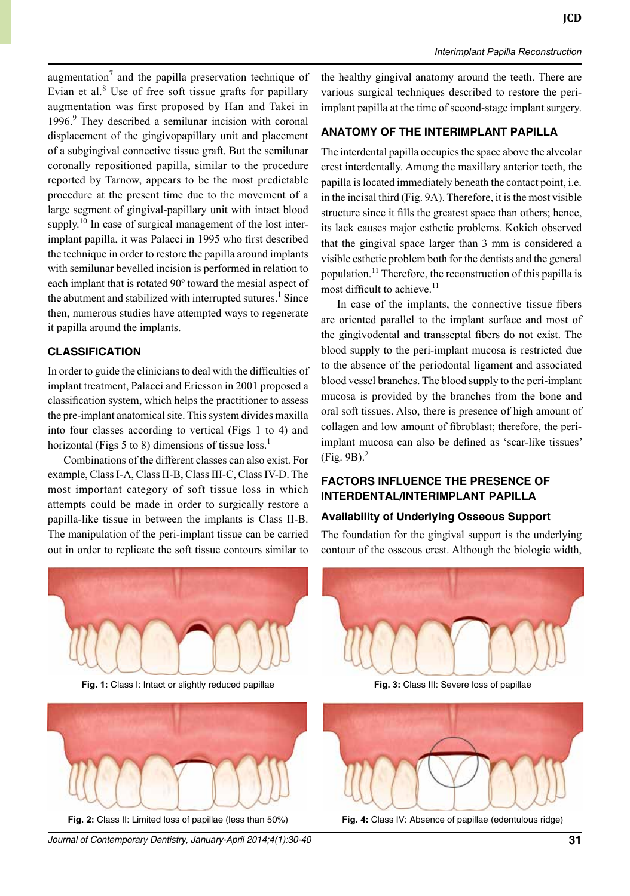augmentation<sup>7</sup> and the papilla preservation technique of Evian et al.<sup>8</sup> Use of free soft tissue grafts for papillary augmentation was first proposed by Han and Takei in 1996.<sup>9</sup> They described a semilunar incision with coronal displacement of the gingivopapillary unit and placement of a subgingival connective tissue graft. But the semilunar coronally repositioned papilla, similar to the procedure reported by Tarnow, appears to be the most predictable procedure at the present time due to the movement of a large segment of gingival-papillary unit with intact blood supply.<sup>10</sup> In case of surgical management of the lost interimplant papilla, it was Palacci in 1995 who first described the technique in order to restore the papilla around implants with semilunar bevelled incision is performed in relation to each implant that is rotated 90º toward the mesial aspect of the abutment and stabilized with interrupted sutures.<sup>1</sup> Since then, numerous studies have attempted ways to regenerate it papilla around the implants.

#### **CLASSIFICATION**

In order to guide the clinicians to deal with the difficulties of implant treatment, Palacci and Ericsson in 2001 proposed a classification system, which helps the practitioner to assess the pre-implant anatomical site. This system divides maxilla into four classes according to vertical (Figs 1 to 4) and horizontal (Figs 5 to 8) dimensions of tissue  $loss<sup>1</sup>$ .

Combinations of the different classes can also exist. For example, Class I-A, Class II-B, Class III-C, Class IV-D. The most important category of soft tissue loss in which attempts could be made in order to surgically restore a papilla-like tissue in between the implants is Class II-B. The manipulation of the peri-implant tissue can be carried out in order to replicate the soft tissue contours similar to the healthy gingival anatomy around the teeth. There are various surgical techniques described to restore the periimplant papilla at the time of second-stage implant surgery.

# **ANATOMY OF THE INTERIMPLANT PAPILLA**

The interdental papilla occupies the space above the alveolar crest interdentally. Among the maxillary anterior teeth, the papilla is located immediately beneath the contact point, i.e. in the incisal third (Fig. 9A). Therefore, it is the most visible structure since it fills the greatest space than others; hence, its lack causes major esthetic problems. Kokich observed that the gingival space larger than 3 mm is considered a visible esthetic problem both for the dentists and the general population.<sup>11</sup> Therefore, the reconstruction of this papilla is most difficult to achieve.<sup>11</sup>

In case of the implants, the connective tissue fibers are oriented parallel to the implant surface and most of the gingivodental and transseptal fibers do not exist. The blood supply to the peri-implant mucosa is restricted due to the absence of the periodontal ligament and associated blood vessel branches. The blood supply to the peri-implant mucosa is provided by the branches from the bone and oral soft tissues. Also, there is presence of high amount of collagen and low amount of fibroblast; therefore, the periimplant mucosa can also be defined as 'scar-like tissues'  $(Fig. 9B)<sup>2</sup>$ 

## **FACTORS INFLUENCE THE PRESENCE OF INTERDENTAL/INTERIMPLANT PAPILLA**

#### **Availability of underlying osseous support**

The foundation for the gingival support is the underlying contour of the osseous crest. Although the biologic width,



Fig. 1: Class I: Intact or slightly reduced papillae



Fig. 2: Class II: Limited loss of papillae (less than 50%)

*Journal of Contemporary Dentistry, January-April 2014;4(1):30-40* **31**



Fig. 3: Class III: Severe loss of papillae



Fig. 4: Class IV: Absence of papillae (edentulous ridge)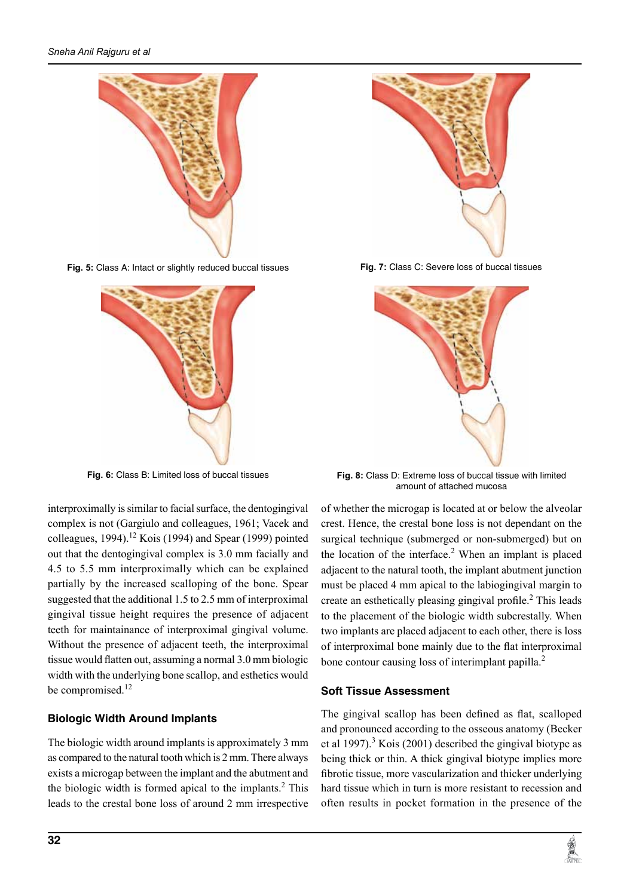

**Fig. 5:** Class A: intact or slightly reduced buccal tissues



Fig. 6: Class B: Limited loss of buccal tissues

interproximally is similar to facial surface, the dentogingival complex is not (Gargiulo and colleagues, 1961; Vacek and colleagues, 1994).<sup>12</sup> Kois (1994) and Spear (1999) pointed out that the dentogingival complex is 3.0 mm facially and 4.5 to 5.5 mm interproximally which can be explained partially by the increased scalloping of the bone. Spear suggested that the additional 1.5 to 2.5 mm of interproximal gingival tissue height requires the presence of adjacent teeth for maintainance of interproximal gingival volume. Without the presence of adjacent teeth, the interproximal tissue would flatten out, assuming a normal 3.0 mm biologic width with the underlying bone scallop, and esthetics would be compromised.<sup>12</sup>

# **Biologic Width Around implants**

The biologic width around implants is approximately 3 mm as compared to the natural tooth which is 2 mm. There always exists a microgap between the implant and the abutment and the biologic width is formed apical to the implants. $2$  This leads to the crestal bone loss of around 2 mm irrespective



Fig. 7: Class C: Severe loss of buccal tissues



Fig. 8: Class D: Extreme loss of buccal tissue with limited amount of attached mucosa

of whether the microgap is located at or below the alveolar crest. Hence, the crestal bone loss is not dependant on the surgical technique (submerged or non-submerged) but on the location of the interface. $2$  When an implant is placed adjacent to the natural tooth, the implant abutment junction must be placed 4 mm apical to the labiogingival margin to create an esthetically pleasing gingival profile.<sup>2</sup> This leads to the placement of the biologic width subcrestally. When two implants are placed adjacent to each other, there is loss of interproximal bone mainly due to the flat interproximal bone contour causing loss of interimplant papilla.<sup>2</sup>

### **Soft Tissue Assessment**

The gingival scallop has been defined as flat, scalloped and pronounced according to the osseous anatomy (Becker et al 1997).<sup>3</sup> Kois (2001) described the gingival biotype as being thick or thin. A thick gingival biotype implies more fibrotic tissue, more vascularization and thicker underlying hard tissue which in turn is more resistant to recession and often results in pocket formation in the presence of the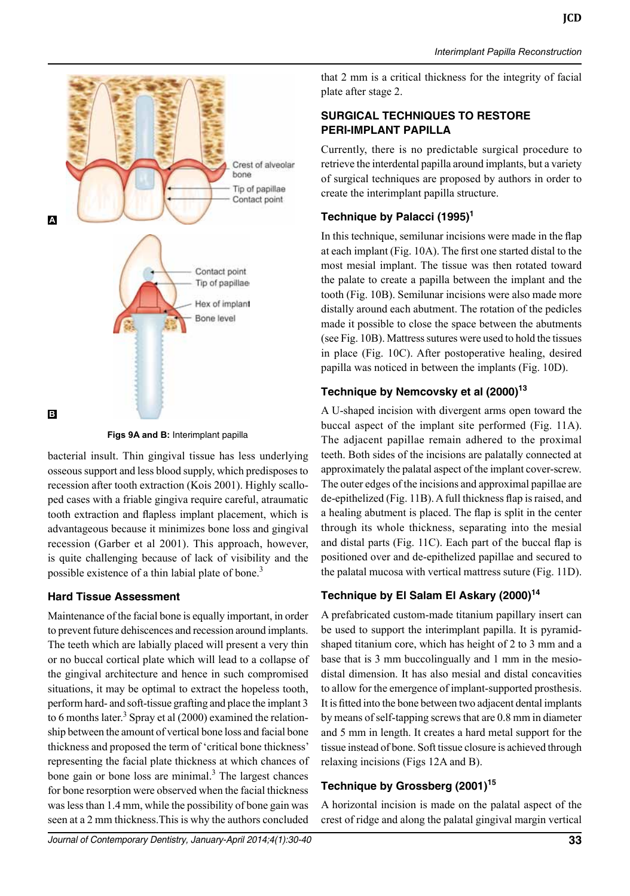

Figs 9A and B: Interimplant papilla

bacterial insult. Thin gingival tissue has less underlying osseous support and less blood supply, which predisposes to recession after tooth extraction (Kois 2001). Highly scalloped cases with a friable gingiva require careful, atraumatic tooth extraction and flapless implant placement, which is advantageous because it minimizes bone loss and gingival recession (Garber et al 2001). This approach, however, is quite challenging because of lack of visibility and the possible existence of a thin labial plate of bone.<sup>3</sup>

### **Hard Tissue Assessment**

Maintenance of the facial bone is equally important, in order to prevent future dehiscences and recession around implants. The teeth which are labially placed will present a very thin or no buccal cortical plate which will lead to a collapse of the gingival architecture and hence in such compromised situations, it may be optimal to extract the hopeless tooth, perform hard- and soft-tissue grafting and place the implant 3 to 6 months later.<sup>3</sup> Spray et al  $(2000)$  examined the relationship between the amount of vertical bone loss and facial bone thickness and proposed the term of 'critical bone thickness' representing the facial plate thickness at which chances of bone gain or bone loss are minimal.<sup>3</sup> The largest chances for bone resorption were observed when the facial thickness was less than 1.4 mm, while the possibility of bone gain was seen at a 2 mm thickness.This is why the authors concluded

that 2 mm is a critical thickness for the integrity of facial plate after stage 2.

*Interimplant Papilla Reconstruction*

# **SURGICAL TECHNIQUES TO RESTORE PERI-IMPLANT PAPILLA**

Currently, there is no predictable surgical procedure to retrieve the interdental papilla around implants, but a variety of surgical techniques are proposed by authors in order to create the interimplant papilla structure.

# **Technique by Palacci (1995)<sup>1</sup>**

In this technique, semilunar incisions were made in the flap at each implant (Fig. 10a). The first one started distal to the most mesial implant. The tissue was then rotated toward the palate to create a papilla between the implant and the tooth (Fig. 10b). Semilunar incisions were also made more distally around each abutment. The rotation of the pedicles made it possible to close the space between the abutments (see Fig. 10B). Mattress sutures were used to hold the tissues in place (Fig. 10c). After postoperative healing, desired papilla was noticed in between the implants (Fig. 10D).

# **Technique by Nemcovsky et al (2000)<sup>13</sup>**

A U-shaped incision with divergent arms open toward the buccal aspect of the implant site performed (Fig. 11A). The adjacent papillae remain adhered to the proximal teeth. Both sides of the incisions are palatally connected at approximately the palatal aspect of the implant cover-screw. The outer edges of the incisions and approximal papillae are de-epithelized (Fig. 11b). A full thickness flap is raised, and a healing abutment is placed. The flap is split in the center through its whole thickness, separating into the mesial and distal parts (Fig. 11c). Each part of the buccal flap is positioned over and de-epithelized papillae and secured to the palatal mucosa with vertical mattress suture (Fig. 11D).

# Technique by El Salam El Askary (2000)<sup>14</sup>

A prefabricated custom-made titanium papillary insert can be used to support the interimplant papilla. It is pyramidshaped titanium core, which has height of 2 to 3 mm and a base that is 3 mm buccolingually and 1 mm in the mesiodistal dimension. It has also mesial and distal concavities to allow for the emergence of implant-supported prosthesis. It is fitted into the bone between two adjacent dental implants by means of self-tapping screws that are 0.8 mm in diameter and 5 mm in length. It creates a hard metal support for the tissue instead of bone. Soft tissue closure is achieved through relaxing incisions (Figs 12A and B).

# **Technique by Grossberg (2001)15**

A horizontal incision is made on the palatal aspect of the crest of ridge and along the palatal gingival margin vertical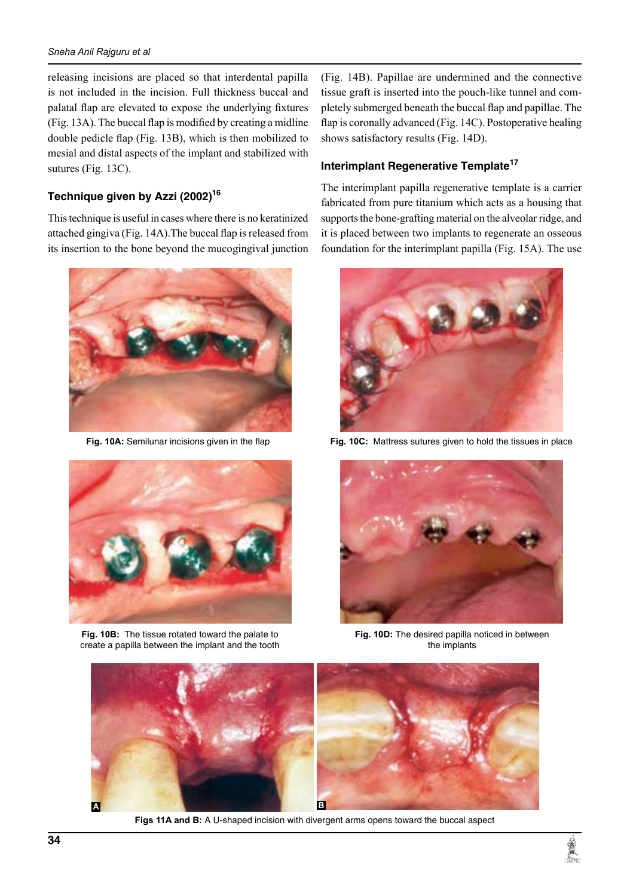#### *Sneha Anil Rajguru et al*

releasing incisions are placed so that interdental papilla is not included in the incision. Full thickness buccal and palatal flap are elevated to expose the underlying fixtures (Fig. 13a). The buccal flap is modified by creating a midline double pedicle flap (Fig. 13B), which is then mobilized to mesial and distal aspects of the implant and stabilized with sutures (Fig. 13C).

### **Technique given by Azzi (2002)16**

This technique is useful in cases where there is no keratinized attached gingiva (Fig. 14a).The buccal flap is released from its insertion to the bone beyond the mucogingival junction



**Fig. 10A:** Semilunar incisions given in the flap



**Fig. 10B:** The tissue rotated toward the palate to create a papilla between the implant and the tooth

(Fig. 14b). Papillae are undermined and the connective tissue graft is inserted into the pouch-like tunnel and completely submerged beneath the buccal flap and papillae. The flap is coronally advanced (Fig. 14c). Postoperative healing shows satisfactory results (Fig. 14D).

#### **Interimplant Regenerative Template<sup>17</sup>**

The interimplant papilla regenerative template is a carrier fabricated from pure titanium which acts as a housing that supports the bone-grafting material on the alveolar ridge, and it is placed between two implants to regenerate an osseous foundation for the interimplant papilla (Fig. 15A). The use



**Fig. 10C:** Mattress sutures given to hold the tissues in place



**Fig. 10D:** The desired papilla noticed in between the implants



**Figs 11A and B:** A U-shaped incision with divergent arms opens toward the buccal aspect

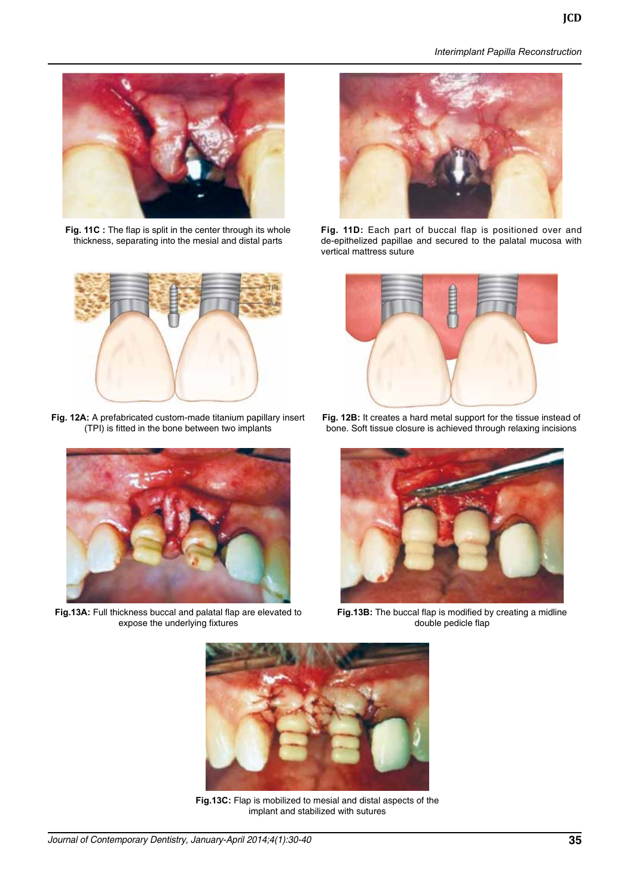*Interimplant Papilla Reconstruction*



**Fig. 11C :** The flap is split in the center through its whole thickness, separating into the mesial and distal parts



**Fig. 12A:** A prefabricated custom-made titanium papillary insert (TPI) is fitted in the bone between two implants



**Fig.13A:** Full thickness buccal and palatal flap are elevated to expose the underlying fixtures



**Fig. 11D:** Each part of buccal flap is positioned over and de-epithelized papillae and secured to the palatal mucosa with vertical mattress suture



**Fig. 12B:** It creates a hard metal support for the tissue instead of bone. Soft tissue closure is achieved through relaxing incisions



**Fig.13B:** The buccal flap is modified by creating a midline double pedicle flap



**Fig.13C:** Flap is mobilized to mesial and distal aspects of the implant and stabilized with sutures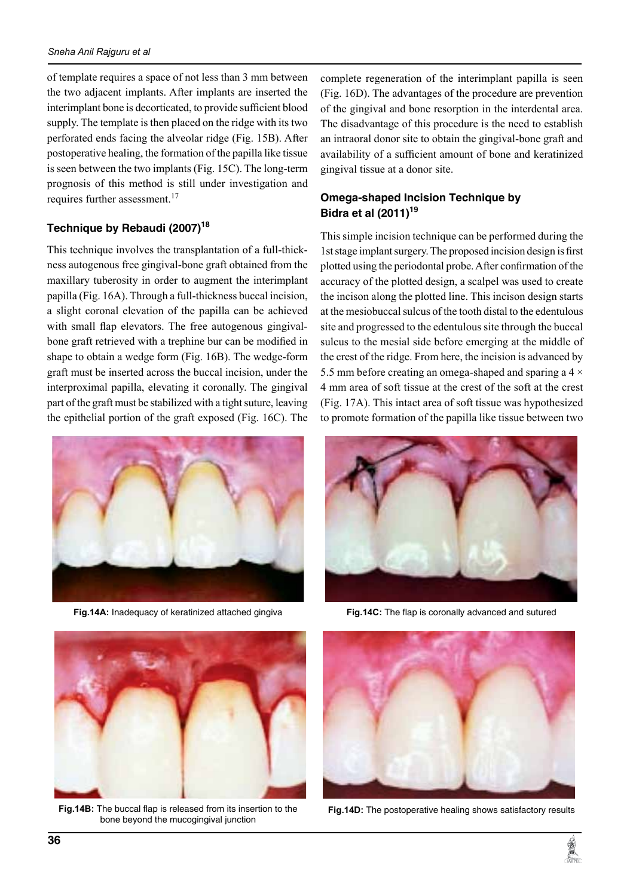of template requires a space of not less than 3 mm between the two adjacent implants. After implants are inserted the interimplant bone is decorticated, to provide sufficient blood supply. The template is then placed on the ridge with its two perforated ends facing the alveolar ridge (Fig. 15b). After postoperative healing, the formation of the papilla like tissue is seen between the two implants (Fig. 15c). The long-term prognosis of this method is still under investigation and requires further assessment.<sup>17</sup>

# **Technique by Rebaudi (2007)18**

This technique involves the transplantation of a full-thickness autogenous free gingival-bone graft obtained from the maxillary tuberosity in order to augment the interimplant papilla (Fig. 16A). Through a full-thickness buccal incision, a slight coronal elevation of the papilla can be achieved with small flap elevators. The free autogenous gingivalbone graft retrieved with a trephine bur can be modified in shape to obtain a wedge form (Fig. 16B). The wedge-form graft must be inserted across the buccal incision, under the interproximal papilla, elevating it coronally. The gingival part of the graft must be stabilized with a tight suture, leaving the epithelial portion of the graft exposed (Fig. 16c). The



**Fig.14A:** Inadequacy of keratinized attached gingiva

complete regeneration of the interimplant papilla is seen (Fig. 16d). The advantages of the procedure are prevention of the gingival and bone resorption in the interdental area. The disadvantage of this procedure is the need to establish an intraoral donor site to obtain the gingival-bone graft and availability of a sufficient amount of bone and keratinized gingival tissue at a donor site.

# **Omega-shaped Incision Technique by Bidra et al (2011)<sup>19</sup>**

This simple incision technique can be performed during the 1st stage implant surgery. The proposed incision design is first plotted using the periodontal probe. After confirmation of the accuracy of the plotted design, a scalpel was used to create the incison along the plotted line. This incison design starts at the mesiobuccal sulcus of the tooth distal to the edentulous site and progressed to the edentulous site through the buccal sulcus to the mesial side before emerging at the middle of the crest of the ridge. From here, the incision is advanced by 5.5 mm before creating an omega-shaped and sparing a 4  $\times$ 4 mm area of soft tissue at the crest of the soft at the crest (Fig. 17a). This intact area of soft tissue was hypothesized to promote formation of the papilla like tissue between two



**Fig.14C:** The flap is coronally advanced and sutured



**Fig.14B:** The buccal flap is released from its insertion to the bone beyond the mucogingival junction



**Fig.14D:** The postoperative healing shows satisfactory results

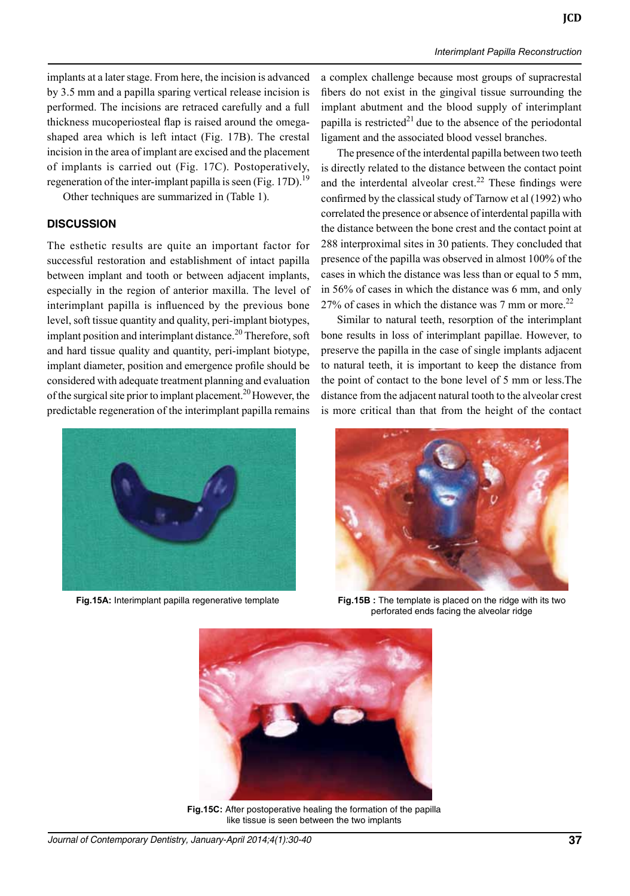implants at a later stage. From here, the incision is advanced by 3.5 mm and a papilla sparing vertical release incision is performed. The incisions are retraced carefully and a full thickness mucoperiosteal flap is raised around the omegashaped area which is left intact (Fig. 17b). The crestal incision in the area of implant are excised and the placement of implants is carried out (Fig. 17c). Postoperatively, regeneration of the inter-implant papilla is seen (Fig. 17D).<sup>19</sup>

Other techniques are summarized in (Table 1).

#### **DISCUSSION**

The esthetic results are quite an important factor for successful restoration and establishment of intact papilla between implant and tooth or between adjacent implants, especially in the region of anterior maxilla. The level of interimplant papilla is influenced by the previous bone level, soft tissue quantity and quality, peri-implant biotypes, implant position and interimplant distance.<sup>20</sup> Therefore, soft and hard tissue quality and quantity, peri-implant biotype, implant diameter, position and emergence profile should be considered with adequate treatment planning and evaluation of the surgical site prior to implant placement.<sup>20</sup> However, the predictable regeneration of the interimplant papilla remains

a complex challenge because most groups of supracrestal fibers do not exist in the gingival tissue surrounding the implant abutment and the blood supply of interimplant papilla is restricted<sup>21</sup> due to the absence of the periodontal ligament and the associated blood vessel branches.

The presence of the interdental papilla between two teeth is directly related to the distance between the contact point and the interdental alveolar crest.<sup>22</sup> These findings were confirmed by the classical study of Tarnow et al (1992) who correlated the presence or absence of interdental papilla with the distance between the bone crest and the contact point at 288 interproximal sites in 30 patients. They concluded that presence of the papilla was observed in almost 100% of the cases in which the distance was less than or equal to 5 mm, in 56% of cases in which the distance was 6 mm, and only 27% of cases in which the distance was 7 mm or more.<sup>22</sup>

Similar to natural teeth, resorption of the interimplant bone results in loss of interimplant papillae. However, to preserve the papilla in the case of single implants adjacent to natural teeth, it is important to keep the distance from the point of contact to the bone level of 5 mm or less.The distance from the adjacent natural tooth to the alveolar crest is more critical than that from the height of the contact





**Fig.15A:** Interimplant papilla regenerative template **Fig.15B :** The template is placed on the ridge with its two perforated ends facing the alveolar ridge



**Fig.15C:** After postoperative healing the formation of the papilla like tissue is seen between the two implants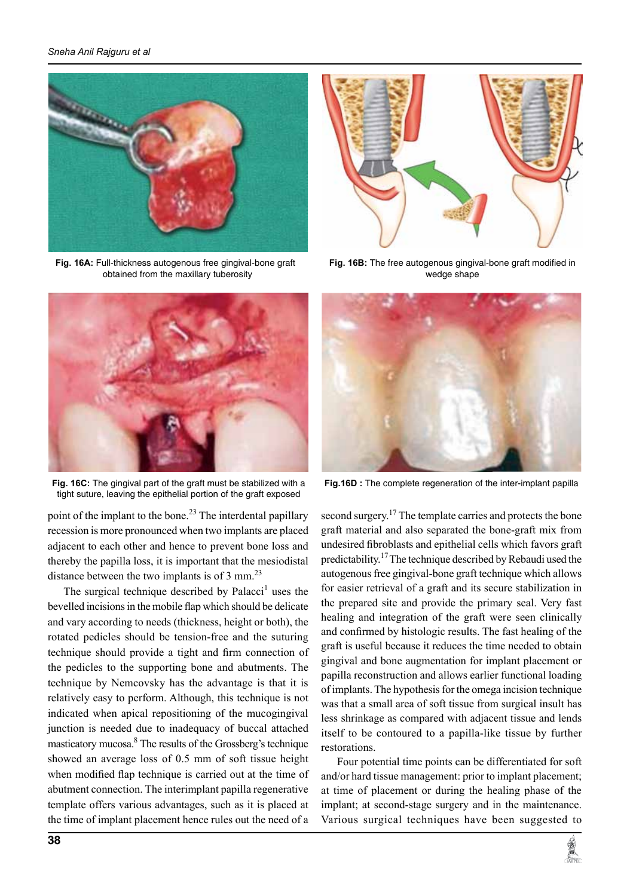

**Fig. 16A:** Full-thickness autogenous free gingival-bone graft obtained from the maxillary tuberosity



**Fig. 16C:** The gingival part of the graft must be stabilized with a tight suture, leaving the epithelial portion of the graft exposed

point of the implant to the bone.<sup>23</sup> The interdental papillary recession is more pronounced when two implants are placed adjacent to each other and hence to prevent bone loss and thereby the papilla loss, it is important that the mesiodistal distance between the two implants is of 3 mm. $^{23}$ 

The surgical technique described by Palacci<sup>1</sup> uses the bevelled incisions in the mobile flap which should be delicate and vary according to needs (thickness, height or both), the rotated pedicles should be tension-free and the suturing technique should provide a tight and firm connection of the pedicles to the supporting bone and abutments. The technique by Nemcovsky has the advantage is that it is relatively easy to perform. Although, this technique is not indicated when apical repositioning of the mucogingival junction is needed due to inadequacy of buccal attached masticatory mucosa.<sup>8</sup> The results of the Grossberg's technique showed an average loss of 0.5 mm of soft tissue height when modified flap technique is carried out at the time of abutment connection. The interimplant papilla regenerative template offers various advantages, such as it is placed at the time of implant placement hence rules out the need of a



**Fig. 16B:** The free autogenous gingival-bone graft modified in wedge shape



**Fig.16D :** The complete regeneration of the inter-implant papilla

second surgery.<sup>17</sup> The template carries and protects the bone graft material and also separated the bone-graft mix from undesired fibroblasts and epithelial cells which favors graft predictability.<sup>17</sup>The technique described by Rebaudi used the autogenous free gingival-bone graft technique which allows for easier retrieval of a graft and its secure stabilization in the prepared site and provide the primary seal. Very fast healing and integration of the graft were seen clinically and confirmed by histologic results. The fast healing of the graft is useful because it reduces the time needed to obtain gingival and bone augmentation for implant placement or papilla reconstruction and allows earlier functional loading of implants. The hypothesis for the omega incision technique was that a small area of soft tissue from surgical insult has less shrinkage as compared with adjacent tissue and lends itself to be contoured to a papilla-like tissue by further restorations.

Four potential time points can be differentiated for soft and/or hard tissue management: prior to implant placement; at time of placement or during the healing phase of the implant; at second-stage surgery and in the maintenance. Various surgical techniques have been suggested to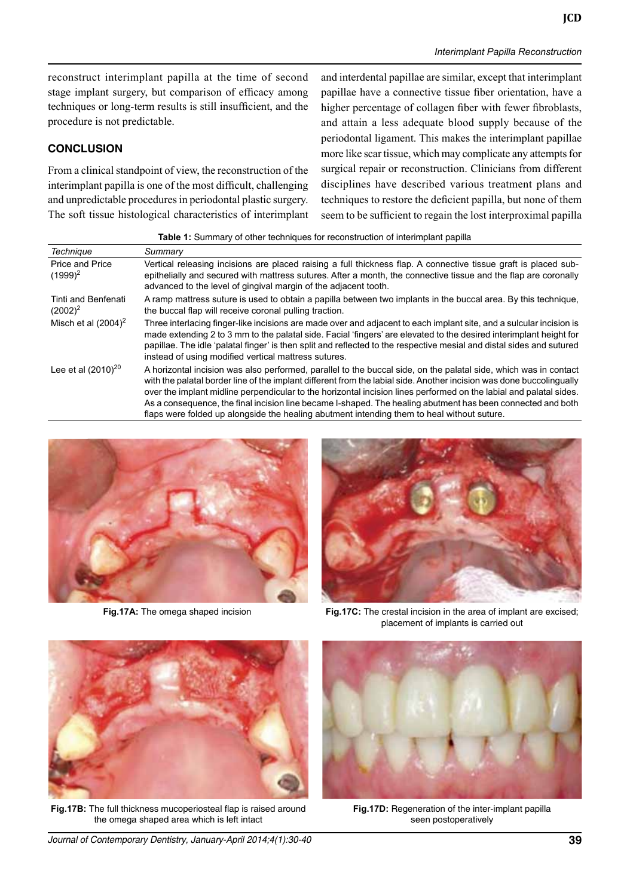reconstruct interimplant papilla at the time of second stage implant surgery, but comparison of efficacy among techniques or long-term results is still insufficient, and the procedure is not predictable.

## **CONCLUSION**

From a clinical standpoint of view, the reconstruction of the interimplant papilla is one of the most difficult, challenging and unpredictable procedures in periodontal plastic surgery. The soft tissue histological characteristics of interimplant

and interdental papillae are similar, except that interimplant papillae have a connective tissue fiber orientation, have a higher percentage of collagen fiber with fewer fibroblasts, and attain a less adequate blood supply because of the periodontal ligament. This makes the interimplant papillae more like scar tissue, which may complicate any attempts for surgical repair or reconstruction. Clinicians from different disciplines have described various treatment plans and techniques to restore the deficient papilla, but none of them seem to be sufficient to regain the lost interproximal papilla

**Table 1:** Summary of other techniques for reconstruction of interimplant papilla

| <b>Technique</b>                     | Summary                                                                                                                                                                                                                                                                                                                                                                                                                                                                                                                                                                     |
|--------------------------------------|-----------------------------------------------------------------------------------------------------------------------------------------------------------------------------------------------------------------------------------------------------------------------------------------------------------------------------------------------------------------------------------------------------------------------------------------------------------------------------------------------------------------------------------------------------------------------------|
| <b>Price and Price</b><br>$(1999)^2$ | Vertical releasing incisions are placed raising a full thickness flap. A connective tissue graft is placed sub-<br>epithelially and secured with mattress sutures. After a month, the connective tissue and the flap are coronally<br>advanced to the level of gingival margin of the adjacent tooth.                                                                                                                                                                                                                                                                       |
| Tinti and Benfenati<br>$(2002)^2$    | A ramp mattress suture is used to obtain a papilla between two implants in the buccal area. By this technique,<br>the buccal flap will receive coronal pulling traction.                                                                                                                                                                                                                                                                                                                                                                                                    |
| Misch et al $(2004)^2$               | Three interlacing finger-like incisions are made over and adjacent to each implant site, and a sulcular incision is<br>made extending 2 to 3 mm to the palatal side. Facial 'fingers' are elevated to the desired interimplant height for<br>papillae. The idle 'palatal finger' is then split and reflected to the respective mesial and distal sides and sutured<br>instead of using modified vertical mattress sutures.                                                                                                                                                  |
| Lee et al $(2010)^{20}$              | A horizontal incision was also performed, parallel to the buccal side, on the palatal side, which was in contact<br>with the palatal border line of the implant different from the labial side. Another incision was done buccolingually<br>over the implant midline perpendicular to the horizontal incision lines performed on the labial and palatal sides.<br>As a consequence, the final incision line became I-shaped. The healing abutment has been connected and both<br>flaps were folded up alongside the healing abutment intending them to heal without suture. |



**Fig.17A:** The omega shaped incision



**Fig.17C:** The crestal incision in the area of implant are excised; placement of implants is carried out



**Fig.17B:** The full thickness mucoperiosteal flap is raised around the omega shaped area which is left intact





**Fig.17D:** Regeneration of the inter-implant papilla seen postoperatively